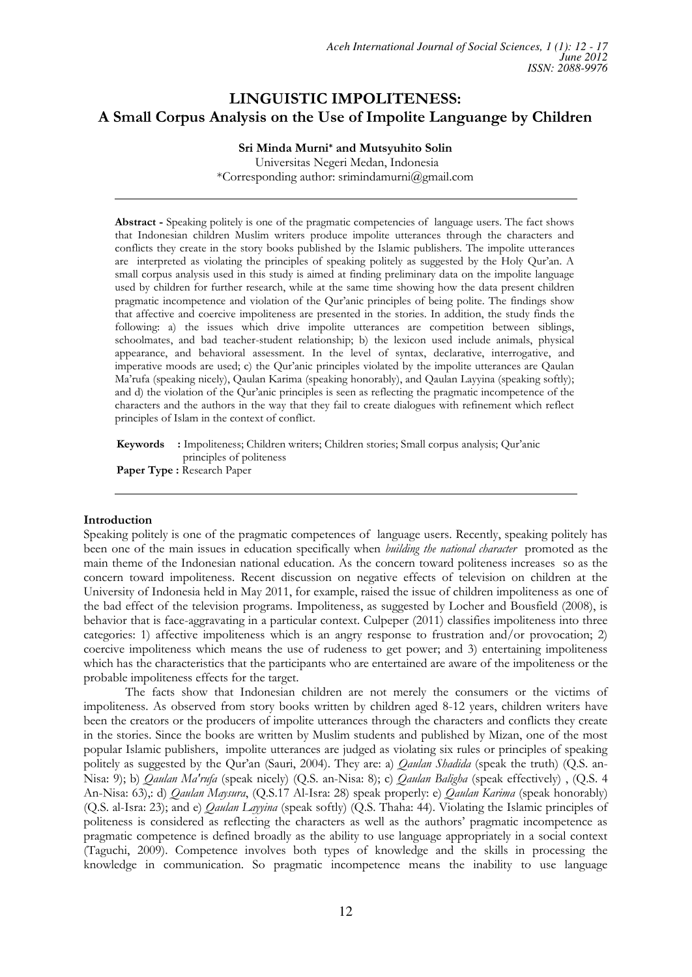# **LINGUISTIC IMPOLITENESS: A Small Corpus Analysis on the Use of Impolite Languange by Children**

**Sri Minda Murni\* and Mutsyuhito Solin**  Universitas Negeri Medan, Indonesia \*Corresponding author: srimindamurni@gmail.com

**Abstract -** Speaking politely is one of the pragmatic competencies of language users. The fact shows that Indonesian children Muslim writers produce impolite utterances through the characters and conflicts they create in the story books published by the Islamic publishers. The impolite utterances are interpreted as violating the principles of speaking politely as suggested by the Holy Qur'an. A small corpus analysis used in this study is aimed at finding preliminary data on the impolite language used by children for further research, while at the same time showing how the data present children pragmatic incompetence and violation of the Qur'anic principles of being polite. The findings show that affective and coercive impoliteness are presented in the stories. In addition, the study finds the following: a) the issues which drive impolite utterances are competition between siblings, schoolmates, and bad teacher-student relationship; b) the lexicon used include animals, physical appearance, and behavioral assessment. In the level of syntax, declarative, interrogative, and imperative moods are used; c) the Qur'anic principles violated by the impolite utterances are Qaulan Ma'rufa (speaking nicely), Qaulan Karima (speaking honorably), and Qaulan Layyina (speaking softly); and d) the violation of the Qur'anic principles is seen as reflecting the pragmatic incompetence of the characters and the authors in the way that they fail to create dialogues with refinement which reflect principles of Islam in the context of conflict.

**Keywords** : Impoliteness; Children writers; Children stories; Small corpus analysis; Qur'anic principles of politeness **Paper Type :** Research Paper

## **Introduction**

Speaking politely is one of the pragmatic competences of language users. Recently, speaking politely has been one of the main issues in education specifically when *building the national character* promoted as the main theme of the Indonesian national education. As the concern toward politeness increases so as the concern toward impoliteness. Recent discussion on negative effects of television on children at the University of Indonesia held in May 2011, for example, raised the issue of children impoliteness as one of the bad effect of the television programs. Impoliteness, as suggested by Locher and Bousfield (2008), is behavior that is face-aggravating in a particular context. Culpeper (2011) classifies impoliteness into three categories: 1) affective impoliteness which is an angry response to frustration and/or provocation; 2) coercive impoliteness which means the use of rudeness to get power; and 3) entertaining impoliteness which has the characteristics that the participants who are entertained are aware of the impoliteness or the probable impoliteness effects for the target.

The facts show that Indonesian children are not merely the consumers or the victims of impoliteness. As observed from story books written by children aged 8-12 years, children writers have been the creators or the producers of impolite utterances through the characters and conflicts they create in the stories. Since the books are written by Muslim students and published by Mizan, one of the most popular Islamic publishers, impolite utterances are judged as violating six rules or principles of speaking politely as suggested by the Qur'an (Sauri, 2004). They are: a) *Qaulan Shadida* (speak the truth) (Q.S. an-Nisa: 9); b) *Qaulan Ma'rufa* (speak nicely) (Q.S. an-Nisa: 8); c) *Qaulan Baligha* (speak effectively) , (Q.S. 4 An-Nisa: 63),: d) *Qaulan Maysura*, (Q.S.17 Al-Isra: 28) speak properly: e) *Qaulan Karima* (speak honorably) (Q.S. al-Isra: 23); and e) *Qaulan Layyina* (speak softly) (Q.S. Thaha: 44). Violating the Islamic principles of politeness is considered as reflecting the characters as well as the authors' pragmatic incompetence as pragmatic competence is defined broadly as the ability to use language appropriately in a social context (Taguchi, 2009). Competence involves both types of knowledge and the skills in processing the knowledge in communication. So pragmatic incompetence means the inability to use language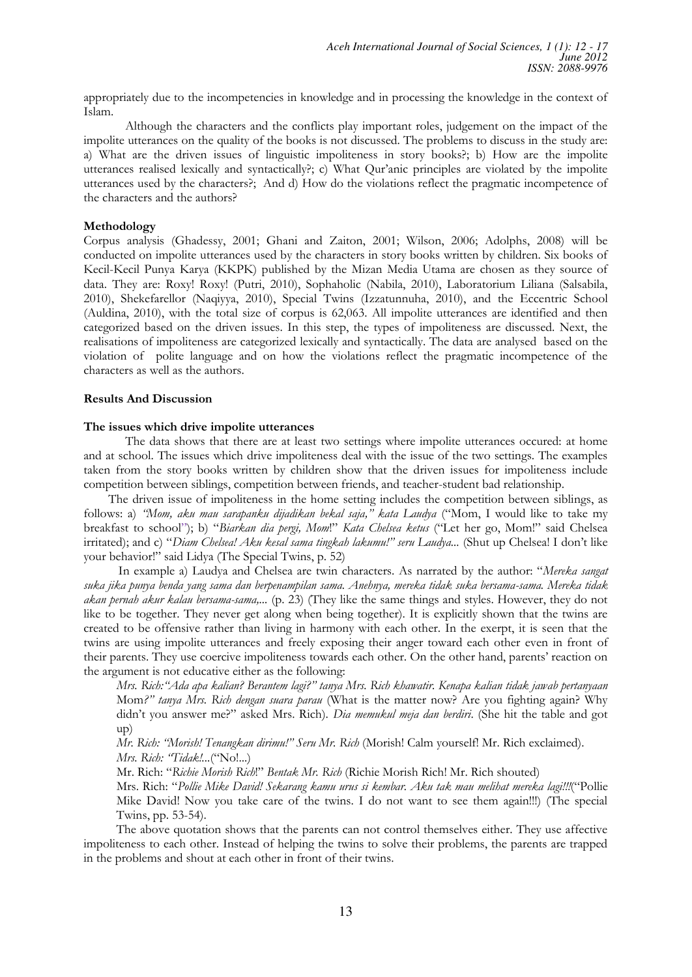appropriately due to the incompetencies in knowledge and in processing the knowledge in the context of Islam.

Although the characters and the conflicts play important roles, judgement on the impact of the impolite utterances on the quality of the books is not discussed. The problems to discuss in the study are: a) What are the driven issues of linguistic impoliteness in story books?; b) How are the impolite utterances realised lexically and syntactically?; c) What Qur'anic principles are violated by the impolite utterances used by the characters?; And d) How do the violations reflect the pragmatic incompetence of the characters and the authors?

## **Methodology**

Corpus analysis (Ghadessy, 2001; Ghani and Zaiton, 2001; Wilson, 2006; Adolphs, 2008) will be conducted on impolite utterances used by the characters in story books written by children. Six books of Kecil-Kecil Punya Karya (KKPK) published by the Mizan Media Utama are chosen as they source of data. They are: Roxy! Roxy! (Putri, 2010), Sophaholic (Nabila, 2010), Laboratorium Liliana (Salsabila, 2010), Shekefarellor (Naqiyya, 2010), Special Twins (Izzatunnuha, 2010), and the Eccentric School (Auldina, 2010), with the total size of corpus is 62,063. All impolite utterances are identified and then categorized based on the driven issues. In this step, the types of impoliteness are discussed. Next, the realisations of impoliteness are categorized lexically and syntactically. The data are analysed based on the violation of polite language and on how the violations reflect the pragmatic incompetence of the characters as well as the authors.

## **Results And Discussion**

## **The issues which drive impolite utterances**

The data shows that there are at least two settings where impolite utterances occured: at home and at school. The issues which drive impoliteness deal with the issue of the two settings. The examples taken from the story books written by children show that the driven issues for impoliteness include competition between siblings, competition between friends, and teacher-student bad relationship.

The driven issue of impoliteness in the home setting includes the competition between siblings, as follows: a) "Mom, aku mau sarapanku dijadikan bekal saja," kata Laudya ("Mom, I would like to take my breakfast to school"); b) "Biarkan dia pergi, Mom!" Kata Chelsea ketus ("Let her go, Mom!" said Chelsea irritated); and c) "Diam Chelsea! Aku kesal sama tingkah lakumu!" seru Laudya... (Shut up Chelsea! I don't like your behavior!" said Lidya (The Special Twins, p. 52)

In example a) Laudya and Chelsea are twin characters. As narrated by the author: "Mereka sangat *suka jika punya benda yang sama dan berpenampilan sama. Anehnya, mereka tidak suka bersama-sama. Mereka tidak akan pernah akur kalau bersama-sama,...* (p. 23) (They like the same things and styles. However, they do not like to be together. They never get along when being together). It is explicitly shown that the twins are created to be offensive rather than living in harmony with each other. In the exerpt, it is seen that the twins are using impolite utterances and freely exposing their anger toward each other even in front of their parents. They use coercive impoliteness towards each other. On the other hand, parents' reaction on the argument is not educative either as the following:

*Mrs. Rich:* "Ada apa kalian? Berantem lagi?" tanya Mrs. Rich khawatir. Kenapa kalian tidak jawab pertanyaan Mom?" tanya Mrs. Rich dengan suara parau (What is the matter now? Are you fighting again? Why didn't you answer me?" asked Mrs. Rich). *Dia memukul meja dan berdiri*. (She hit the table and got up)

*Mr. Rich: "Morish! Tenangkan dirimu!" Seru Mr. Rich (Morish! Calm yourself! Mr. Rich exclaimed). Mrs. Rich: "Tidak!...*("No!...)

0U5LFK¥*Richie Morish Rich*µ*Bentak Mr. Rich* (Richie Morish Rich! Mr. Rich shouted)

Mrs. Rich: "Pollie Mike David! Sekarang kamu urus si kembar. Aku tak mau melihat mereka lagi!!!("Pollie Mike David! Now you take care of the twins. I do not want to see them again!!!) (The special Twins, pp. 53-54).

The above quotation shows that the parents can not control themselves either. They use affective impoliteness to each other. Instead of helping the twins to solve their problems, the parents are trapped in the problems and shout at each other in front of their twins.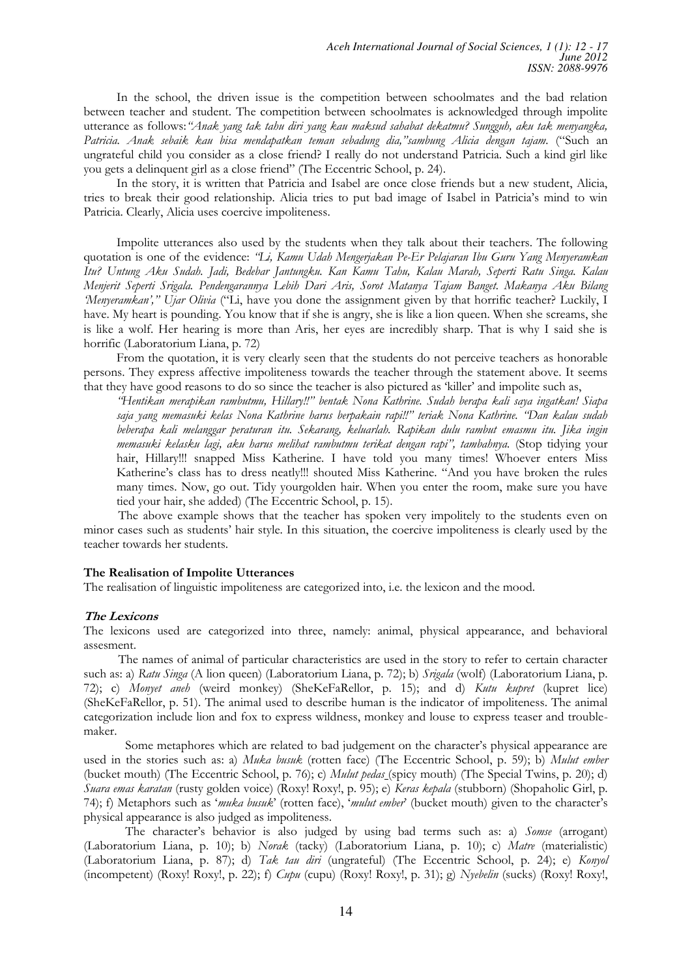In the school, the driven issue is the competition between schoolmates and the bad relation between teacher and student. The competition between schoolmates is acknowledged through impolite utterance as follows: "Anak yang tak tahu diri yang kau maksud sahabat dekatmu? Sungguh, aku tak menyangka, Patricia. Anak sebaik kau bisa mendapatkan teman sebadung dia,"sambung Alicia dengan tajam. <sup>(ec</sup>Such an ungrateful child you consider as a close friend? I really do not understand Patricia. Such a kind girl like you gets a delinquent girl as a close friend" (The Eccentric School, p. 24).

In the story, it is written that Patricia and Isabel are once close friends but a new student, Alicia, tries to break their good relationship. Alicia tries to put bad image of Isabel in Patricia's mind to win Patricia. Clearly, Alicia uses coercive impoliteness.

Impolite utterances also used by the students when they talk about their teachers. The following quotation is one of the evidence: *''Li, Kamu Udah Mengerjakan Pe-Er Pelajaran Ibu Guru Yang Menyeramkan Itu? Untung Aku Sudah. Jadi, Bedebar Jantungku. Kan Kamu Tahu, Kalau Marah, Seperti Ratu Singa. Kalau Menjerit Seperti Srigala. Pendengarannya Lebih Dari Aris, Sorot Matanya Tajam Banget. Makanya Aku Bilang Menyeramkan'," Ujar Olivia* ("Li, have you done the assignment given by that horrific teacher? Luckily, I have. My heart is pounding. You know that if she is angry, she is like a lion queen. When she screams, she is like a wolf. Her hearing is more than Aris, her eyes are incredibly sharp. That is why I said she is horrific (Laboratorium Liana, p. 72)

From the quotation, it is very clearly seen that the students do not perceive teachers as honorable persons. They express affective impoliteness towards the teacher through the statement above. It seems that they have good reasons to do so since the teacher is also pictured as 'killer' and impolite such as,

*¥+HQWLNDQPHUDSLNDQ UDPEXWPXHillaryµ bentak Nona Kathrine. Sudah berapa kali saya ingatkan! Siapa*  saja yang memasuki kelas Nona Kathrine harus berpakain rapi!!" teriak Nona Kathrine. "Dan kalau sudah *beberapa kali melanggar peraturan itu. Sekarang, keluarlah. Rapikan dulu rambut emasmu itu. Jika ingin*  memasuki kelasku lagi, aku harus melihat rambutmu terikat dengan rapi", tambahnya. (Stop tidying your hair, Hillary!!! snapped Miss Katherine. I have told you many times! Whoever enters Miss Katherine's class has to dress neatly!!! shouted Miss Katherine. "And you have broken the rules many times. Now, go out. Tidy yourgolden hair. When you enter the room, make sure you have tied your hair, she added) (The Eccentric School, p. 15).

The above example shows that the teacher has spoken very impolitely to the students even on minor cases such as students' hair style. In this situation, the coercive impoliteness is clearly used by the teacher towards her students.

#### **The Realisation of Impolite Utterances**

The realisation of linguistic impoliteness are categorized into, i.e. the lexicon and the mood.

#### **The Lexicons**

The lexicons used are categorized into three, namely: animal, physical appearance, and behavioral assesment.

The names of animal of particular characteristics are used in the story to refer to certain character such as: a) *Ratu Singa* (A lion queen) (Laboratorium Liana, p. 72); b) *Srigala* (wolf) (Laboratorium Liana, p. 72); c) *Monyet aneh* (weird monkey) (SheKeFaRellor, p. 15); and d) *Kutu kupret* (kupret lice) (SheKeFaRellor, p. 51). The animal used to describe human is the indicator of impoliteness. The animal categorization include lion and fox to express wildness, monkey and louse to express teaser and troublemaker.

Some metaphores which are related to bad judgement on the character's physical appearance are used in the stories such as: a) *Muka busuk* (rotten face) (The Eccentric School, p. 59); b) *Mulut ember* (bucket mouth) (The Eccentric School, p. 76); c) *Mulut pedas* (spicy mouth) (The Special Twins, p. 20); d) *Suara emas karatan* (rusty golden voice) (Roxy! Roxy!, p. 95); e) *Keras kepala* (stubborn) (Shopaholic Girl, p. 74); f) Metaphors such as 'muka busuk' (rotten face), 'mulut ember' (bucket mouth) given to the character's physical appearance is also judged as impoliteness.

The character's behavior is also judged by using bad terms such as: a) *Somse* (arrogant) (Laboratorium Liana, p. 10); b) *Norak* (tacky) (Laboratorium Liana, p. 10); c) *Matre* (materialistic) (Laboratorium Liana, p. 87); d) *Tak tau diri* (ungrateful) (The Eccentric School, p. 24); e) *Konyol*  (incompetent) (Roxy! Roxy!, p. 22); f) *Cupu* (cupu) (Roxy! Roxy!, p. 31); g) *Nyebelin* (sucks) (Roxy! Roxy!,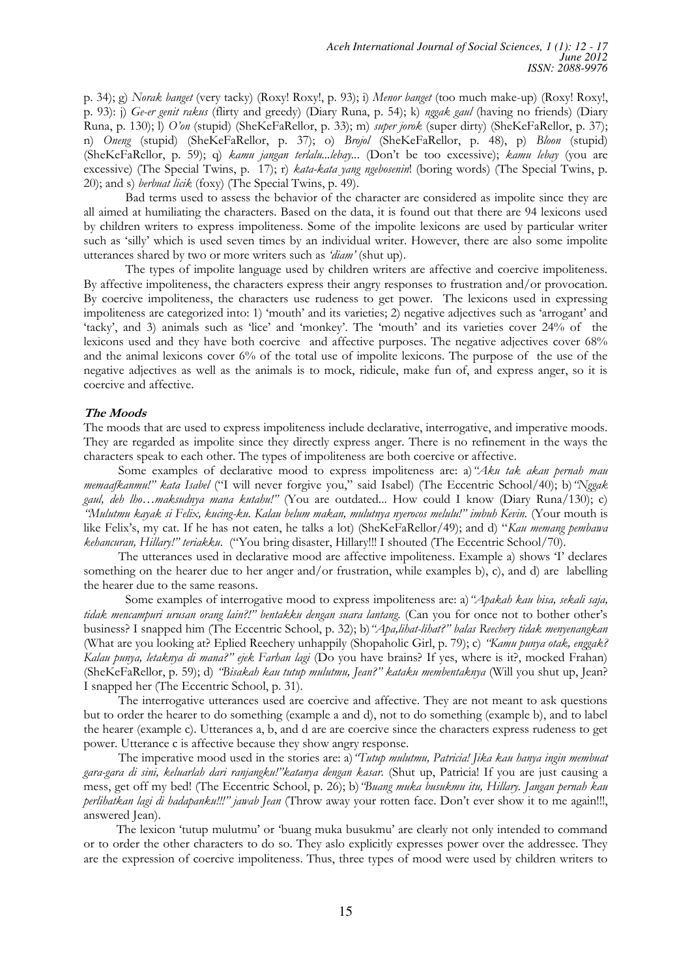p. 34); g) *Norak banget* (very tacky) (Roxy! Roxy!, p. 93); i) *Menor banget* (too much make-up) (Roxy! Roxy!, p. 93): j) *Ge-er genit rakus* (flirty and greedy) (Diary Runa, p. 54); k) *nggak gaul* (having no friends) (Diary Runa, p. 130); l) *2·RQ*(stupid) (SheKeFaRellor, p. 33); m) *super jorok* (super dirty) (SheKeFaRellor, p. 37); n) *Oneng* (stupid) (SheKeFaRellor, p. 37); o) *Brojol* (SheKeFaRellor, p. 48), p) *Bloon* (stupid) (SheKeFaRellor, p. 59); q) *kamu jangan terlalu...lebay...* (Don't be too excessive); *kamu lebay* (you are excessive) (The Special Twins, p. 17); r) *kata-kata yang ngebosenin*! (boring words) (The Special Twins, p. 20); and s) *berbuat licik* (foxy) (The Special Twins, p. 49).

Bad terms used to assess the behavior of the character are considered as impolite since they are all aimed at humiliating the characters. Based on the data, it is found out that there are 94 lexicons used by children writers to express impoliteness. Some of the impolite lexicons are used by particular writer such as 'silly' which is used seven times by an individual writer. However, there are also some impolite utterances shared by two or more writers such as 'diam' (shut up).

The types of impolite language used by children writers are affective and coercive impoliteness. By affective impoliteness, the characters express their angry responses to frustration and/or provocation. By coercive impoliteness, the characters use rudeness to get power. The lexicons used in expressing impoliteness are categorized into: 1) 'mouth' and its varieties;  $2)$  negative adjectives such as 'arrogant' and 'tacky', and 3) animals such as 'lice' and 'monkey'. The 'mouth' and its varieties cover 24% of the lexicons used and they have both coercive and affective purposes. The negative adjectives cover 68% and the animal lexicons cover 6% of the total use of impolite lexicons. The purpose of the use of the negative adjectives as well as the animals is to mock, ridicule, make fun of, and express anger, so it is coercive and affective.

#### **The Moods**

The moods that are used to express impoliteness include declarative, interrogative, and imperative moods. They are regarded as impolite since they directly express anger. There is no refinement in the ways the characters speak to each other. The types of impoliteness are both coercive or affective.

Some examples of declarative mood to express impoliteness are: a) "Aku tak akan pernah mau *PHPDDINDQPXµ NDWD ,VDEHO* ¥,ZLOO QHYHU IRUJLYH \RXµ VDLG ,VDEHO7KH(FFHQWULF6FKRRO E*¥1JJDN* gaul, deh lho...maksudnya mana kutahu!" (You are outdated... How could I know (Diary Runa/130); c) *¥0XOXWPXND\DNVL)HOL[NXFLQJ-NX.DODXEHOXPPDNDQPXOXWQ\DQ\HURFRVPHOXOXµLPEXK.HYLQ* (Your mouth is like Felix's, my cat. If he has not eaten, he talks a lot) (SheKeFaRellor/49); and d) "Kau memang pembawa kehancuran, Hillary!" teriakku. ("You bring disaster, Hillary!!! I shouted (The Eccentric School/70).

The utterances used in declarative mood are affective impoliteness. Example a) shows T declares something on the hearer due to her anger and/or frustration, while examples b), c), and d) are labelling the hearer due to the same reasons.

Some examples of interrogative mood to express impoliteness are: a) "Apakah kau hisa, sekali saja, tidak mencampuri urusan orang lain?!" bentakku dengan suara lantang. (Can you for once not to bother other's business? I snapped him (The Eccentric School, p. 32); b) "Apa,lihat-lihat?" halas Reechery tidak menyenangkan (What are you looking at? Eplied Reechery unhappily (Shopaholic Girl, p. 79); c) *'Kamu punya otak, enggak?* Kalau punya, letaknya di mana?" ejek Farhan lagi (Do you have brains? If yes, where is it?, mocked Frahan) (SheKeFaRellor, p. 59); d) *'Bisakah kau tutup mulutmu*, Jean?" kataku membentaknya (Will you shut up, Jean? I snapped her (The Eccentric School, p. 31).

The interrogative utterances used are coercive and affective. They are not meant to ask questions but to order the hearer to do something (example a and d), not to do something (example b), and to label the hearer (example c). Utterances a, b, and d are are coercive since the characters express rudeness to get power. Utterance c is affective because they show angry response.

The imperative mood used in the stories are: a) *'Tutup mulutmu*, Patricia! *Jika kau hanya ingin membuat* gara-gara di sini, keluarlah dari ranjangku!"katanya dengan kasar. (Shut up, Patricia! If you are just causing a mess, get off my bed! (The Eccentric School, p. 26); b) 'Buang muka busukmu itu, Hillary. Jangan pernah kau perlihatkan lagi di hadapanku!!!" jawab Jean (Throw away your rotten face. Don't ever show it to me again!!!, answered Jean).

The lexicon 'tutup mulutmu' or 'buang muka busukmu' are clearly not only intended to command or to order the other characters to do so. They aslo explicitly expresses power over the addressee. They are the expression of coercive impoliteness. Thus, three types of mood were used by children writers to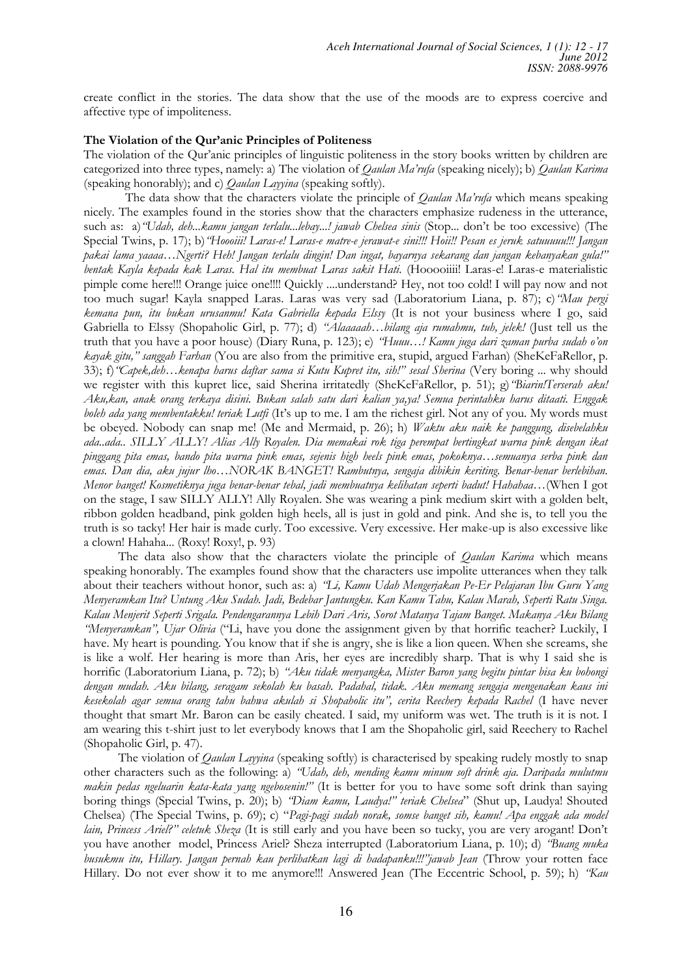create conflict in the stories. The data show that the use of the moods are to express coercive and affective type of impoliteness.

### The Violation of the Qur'anic Principles of Politeness

The violation of the Qur'anic principles of linguistic politeness in the story books written by children are categorized into three types, namely: a) The violation of *Qaulan Ma'rufa* (speaking nicely); b) *Qaulan Karima* (speaking honorably); and c) *Qaulan Layyina* (speaking softly).

The data show that the characters violate the principle of *Qaulan Ma'rufa* which means speaking nicely. The examples found in the stories show that the characters emphasize rudeness in the utterance, such as: a) "Udah, deh...kamu jangan terlalu...lebay...! jawab Chelsea sinis (Stop... don't be too excessive) (The Special Twins, p. 17); b) 'Hoooiii! Laras-e! Laras-e matre-e jerawat-e sini!!! Hoii!! Pesan es jeruk satuuuuu!!! Jangan pakai lama yaaaa...Ngerti? Heb! Jangan terlalu dingin! Dan ingat, bayarnya sekarang dan jangan kebanyakan gula!" *bentak Kayla kepada kak Laras. Hal itu membuat Laras sakit Hati.* (Hooooiiii! Laras-e! Laras-e materialistic pimple come here!!! Orange juice one!!!! Quickly ....understand? Hey, not too cold! I will pay now and not too much sugar! Kayla snapped Laras. Laras was very sad (Laboratorium Liana, p. 87); c) 'Mau pergi *kemana pun, itu bukan urusanmu! Kata Gabriella kepada Elssy* (It is not your business where I go, said Gabriella to Elssy (Shopaholic Girl, p. 77); d) "Alaaaaah...bilang aja rumahmu, tub, jelek! (Just tell us the truth that you have a poor house) (Diary Runa, p. 123); e) *'Huuu...! Kamu juga dari zaman purba sudah o'on kayak gitu," sanggah Farhan* (You are also from the primitive era, stupid, argued Farhan) (SheKeFaRellor, p. 33); f)<sup>*"Capek,deh...kenapa harus daftar sama si Kutu Kupret itu, sih!" sesal Sherina* (Very boring ... why should</sup> we register with this kupret lice, said Sherina irritatedly (SheKeFaRellor, p. 51); g) *'Biarin!Terserah aku! Aku,kan, anak orang terkaya disini. Bukan salah satu dari kalian ya,ya! Semua perintahku harus ditaati. Enggak boleh ada yang membentakku! teriak Lutfi* (It's up to me. I am the richest girl. Not any of you. My words must be obeyed. Nobody can snap me! (Me and Mermaid, p. 26); h) *Waktu aku naik ke panggung, disebelahku ada..ada.. SILLY ALLY! Alias Ally Royalen. Dia memakai rok tiga perempat bertingkat warna pink dengan ikat*  pinggang pita emas, bando pita warna pink emas, sejenis high heels pink emas, pokoknya...semuanya serba pink dan emas. Dan dia, aku jujur lho...NORAK BANGET! Rambutnya, sengaja dibikin keriting. Benar-benar berlebihan. *Menor banget! Kosmetiknya juga benar-benar tebal, jadi membuatnya kelihatan seperti badut! Hahahaa...*(When I got on the stage, I saw SILLY ALLY! Ally Royalen. She was wearing a pink medium skirt with a golden belt, ribbon golden headband, pink golden high heels, all is just in gold and pink. And she is, to tell you the truth is so tacky! Her hair is made curly. Too excessive. Very excessive. Her make-up is also excessive like a clown! Hahaha... (Roxy! Roxy!, p. 93)

The data also show that the characters violate the principle of *Qaulan Karima* which means speaking honorably. The examples found show that the characters use impolite utterances when they talk about their teachers without honor, such as: a) *'Li, Kamu Udah Mengerjakan Pe-Er Pelajaran Ibu Guru Yang Menyeramkan Itu? Untung Aku Sudah. Jadi, Bedebar Jantungku. Kan Kamu Tahu, Kalau Marah, Seperti Ratu Singa. Kalau Menjerit Seperti Srigala. Pendengarannya Lebih Dari Aris, Sorot Matanya Tajam Banget. Makanya Aku Bilang <sup>4</sup>Menyeramkan"*, Ujar Olivia ("Li, have you done the assignment given by that horrific teacher? Luckily, I have. My heart is pounding. You know that if she is angry, she is like a lion queen. When she screams, she is like a wolf. Her hearing is more than Aris, her eyes are incredibly sharp. That is why I said she is horrific (Laboratorium Liana, p. 72); b) *"Aku tidak menyangka, Mister Baron yang begitu pintar bisa ku bohongi dengan mudah. Aku bilang, seragam sekolah ku basah. Padahal, tidak. Aku memang sengaja mengenakan kaus ini*  kesekolah agar semua orang tahu bahwa akulah si Shopaholic itu", cerita Reechery kepada Rachel (I have never thought that smart Mr. Baron can be easily cheated. I said, my uniform was wet. The truth is it is not. I am wearing this t-shirt just to let everybody knows that I am the Shopaholic girl, said Reechery to Rachel (Shopaholic Girl, p. 47).

The violation of *Qaulan Layyina* (speaking softly) is characterised by speaking rudely mostly to snap other characters such as the following: a) *'Udah, deh, mending kamu minum soft drink aja. Daripada mulutmu makin pedas ngeluarin kata-kata yang ngebosenin!"* (It is better for you to have some soft drink than saying boring things (Special Twins, p. 20); b) "Diam kamu, Laudya!" teriak Chelsea" (Shut up, Laudya! Shouted Chelsea) (The Special Twins, p. 69); c) "Pagi-pagi sudah norak, somse banget sih, kamu! Apa enggak ada model *lain, Princess Ariel?" celetuk Sheza* (It is still early and you have been so tucky, you are very arogant! Don't you have another model, Princess Ariel? Sheza interrupted (Laboratorium Liana, p. 10); d) *'Buang muka* busukmu itu, Hillary. Jangan pernah kau perlihatkan lagi di hadapanku!!!"jawab Jean (Throw your rotten face Hillary. Do not ever show it to me anymore!!! Answered Jean (The Eccentric School, p. 59); h) *'Kau*